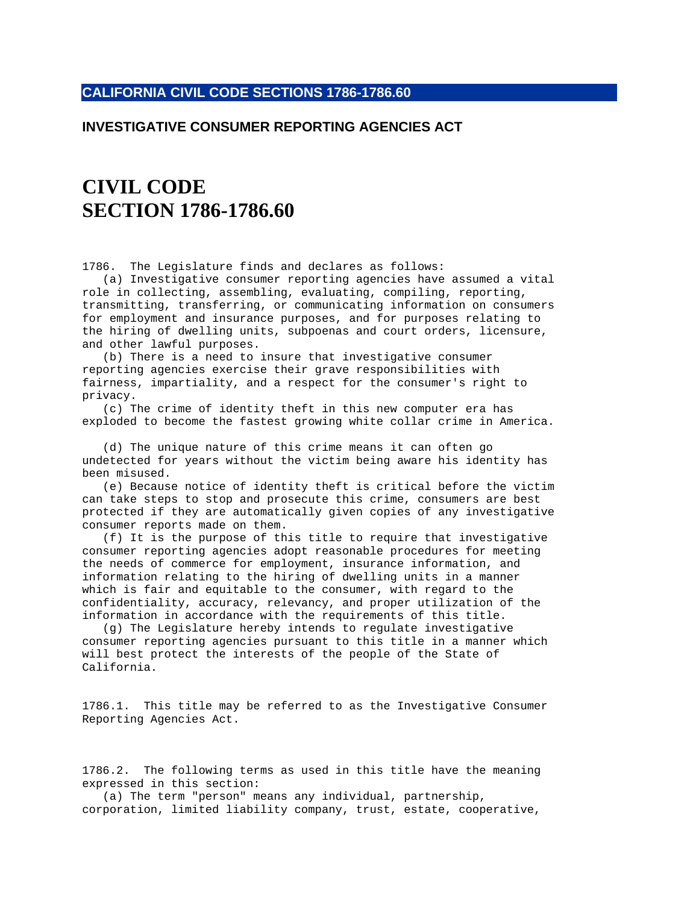## **CALIFORNIA CIVIL CODE SECTIONS 1786-1786.60**

## **INVESTIGATIVE CONSUMER REPORTING AGENCIES ACT**

## **CIVIL CODE SECTION 1786-1786.60**

1786. The Legislature finds and declares as follows:

 (a) Investigative consumer reporting agencies have assumed a vital role in collecting, assembling, evaluating, compiling, reporting, transmitting, transferring, or communicating information on consumers for employment and insurance purposes, and for purposes relating to the hiring of dwelling units, subpoenas and court orders, licensure, and other lawful purposes.

 (b) There is a need to insure that investigative consumer reporting agencies exercise their grave responsibilities with fairness, impartiality, and a respect for the consumer's right to privacy.

 (c) The crime of identity theft in this new computer era has exploded to become the fastest growing white collar crime in America.

 (d) The unique nature of this crime means it can often go undetected for years without the victim being aware his identity has been misused.

 (e) Because notice of identity theft is critical before the victim can take steps to stop and prosecute this crime, consumers are best protected if they are automatically given copies of any investigative consumer reports made on them.

 (f) It is the purpose of this title to require that investigative consumer reporting agencies adopt reasonable procedures for meeting the needs of commerce for employment, insurance information, and information relating to the hiring of dwelling units in a manner which is fair and equitable to the consumer, with regard to the confidentiality, accuracy, relevancy, and proper utilization of the information in accordance with the requirements of this title.

 (g) The Legislature hereby intends to regulate investigative consumer reporting agencies pursuant to this title in a manner which will best protect the interests of the people of the State of California.

1786.1. This title may be referred to as the Investigative Consumer Reporting Agencies Act.

1786.2. The following terms as used in this title have the meaning expressed in this section:

 (a) The term "person" means any individual, partnership, corporation, limited liability company, trust, estate, cooperative,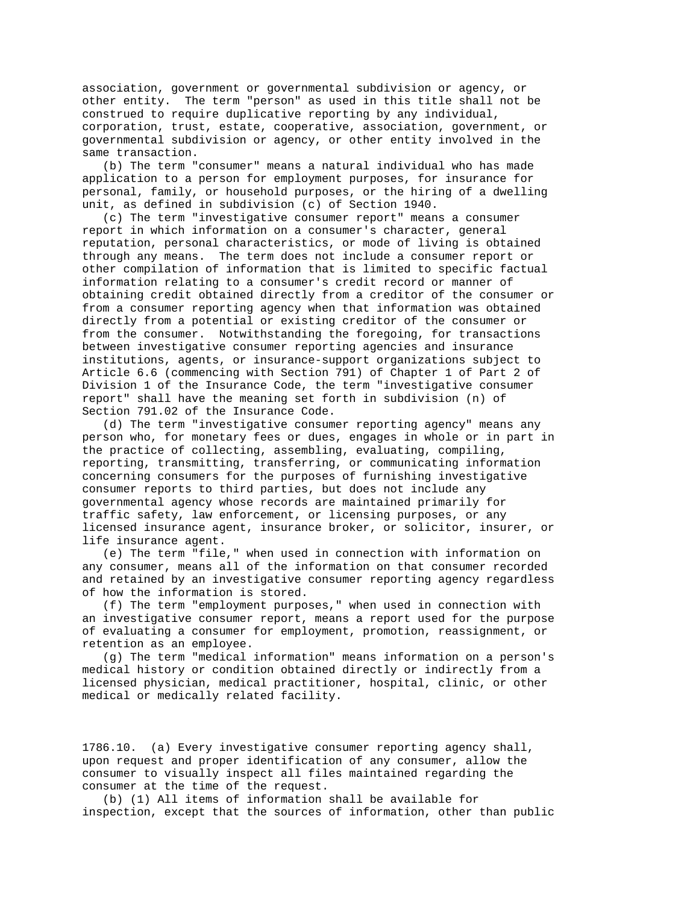association, government or governmental subdivision or agency, or other entity. The term "person" as used in this title shall not be construed to require duplicative reporting by any individual, corporation, trust, estate, cooperative, association, government, or governmental subdivision or agency, or other entity involved in the same transaction.

 (b) The term "consumer" means a natural individual who has made application to a person for employment purposes, for insurance for personal, family, or household purposes, or the hiring of a dwelling unit, as defined in subdivision (c) of Section 1940.

 (c) The term "investigative consumer report" means a consumer report in which information on a consumer's character, general reputation, personal characteristics, or mode of living is obtained through any means. The term does not include a consumer report or other compilation of information that is limited to specific factual information relating to a consumer's credit record or manner of obtaining credit obtained directly from a creditor of the consumer or from a consumer reporting agency when that information was obtained directly from a potential or existing creditor of the consumer or from the consumer. Notwithstanding the foregoing, for transactions between investigative consumer reporting agencies and insurance institutions, agents, or insurance-support organizations subject to Article 6.6 (commencing with Section 791) of Chapter 1 of Part 2 of Division 1 of the Insurance Code, the term "investigative consumer report" shall have the meaning set forth in subdivision (n) of Section 791.02 of the Insurance Code.

 (d) The term "investigative consumer reporting agency" means any person who, for monetary fees or dues, engages in whole or in part in the practice of collecting, assembling, evaluating, compiling, reporting, transmitting, transferring, or communicating information concerning consumers for the purposes of furnishing investigative consumer reports to third parties, but does not include any governmental agency whose records are maintained primarily for traffic safety, law enforcement, or licensing purposes, or any licensed insurance agent, insurance broker, or solicitor, insurer, or life insurance agent.

 (e) The term "file," when used in connection with information on any consumer, means all of the information on that consumer recorded and retained by an investigative consumer reporting agency regardless of how the information is stored.

 (f) The term "employment purposes," when used in connection with an investigative consumer report, means a report used for the purpose of evaluating a consumer for employment, promotion, reassignment, or retention as an employee.

 (g) The term "medical information" means information on a person's medical history or condition obtained directly or indirectly from a licensed physician, medical practitioner, hospital, clinic, or other medical or medically related facility.

1786.10. (a) Every investigative consumer reporting agency shall, upon request and proper identification of any consumer, allow the consumer to visually inspect all files maintained regarding the consumer at the time of the request.

 (b) (1) All items of information shall be available for inspection, except that the sources of information, other than public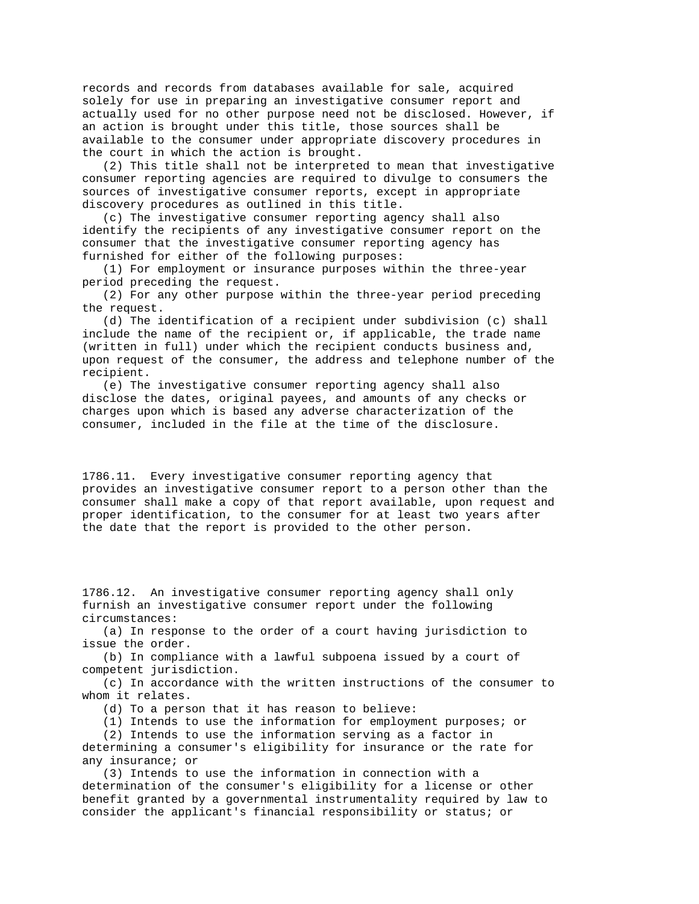records and records from databases available for sale, acquired solely for use in preparing an investigative consumer report and actually used for no other purpose need not be disclosed. However, if an action is brought under this title, those sources shall be available to the consumer under appropriate discovery procedures in the court in which the action is brought.

 (2) This title shall not be interpreted to mean that investigative consumer reporting agencies are required to divulge to consumers the sources of investigative consumer reports, except in appropriate discovery procedures as outlined in this title.

 (c) The investigative consumer reporting agency shall also identify the recipients of any investigative consumer report on the consumer that the investigative consumer reporting agency has furnished for either of the following purposes:

 (1) For employment or insurance purposes within the three-year period preceding the request.

 (2) For any other purpose within the three-year period preceding the request.

 (d) The identification of a recipient under subdivision (c) shall include the name of the recipient or, if applicable, the trade name (written in full) under which the recipient conducts business and, upon request of the consumer, the address and telephone number of the recipient.

 (e) The investigative consumer reporting agency shall also disclose the dates, original payees, and amounts of any checks or charges upon which is based any adverse characterization of the consumer, included in the file at the time of the disclosure.

1786.11. Every investigative consumer reporting agency that provides an investigative consumer report to a person other than the consumer shall make a copy of that report available, upon request and proper identification, to the consumer for at least two years after the date that the report is provided to the other person.

1786.12. An investigative consumer reporting agency shall only furnish an investigative consumer report under the following circumstances:

 (a) In response to the order of a court having jurisdiction to issue the order.

 (b) In compliance with a lawful subpoena issued by a court of competent jurisdiction.

 (c) In accordance with the written instructions of the consumer to whom it relates.

(d) To a person that it has reason to believe:

(1) Intends to use the information for employment purposes; or

 (2) Intends to use the information serving as a factor in determining a consumer's eligibility for insurance or the rate for any insurance; or

 (3) Intends to use the information in connection with a determination of the consumer's eligibility for a license or other benefit granted by a governmental instrumentality required by law to consider the applicant's financial responsibility or status; or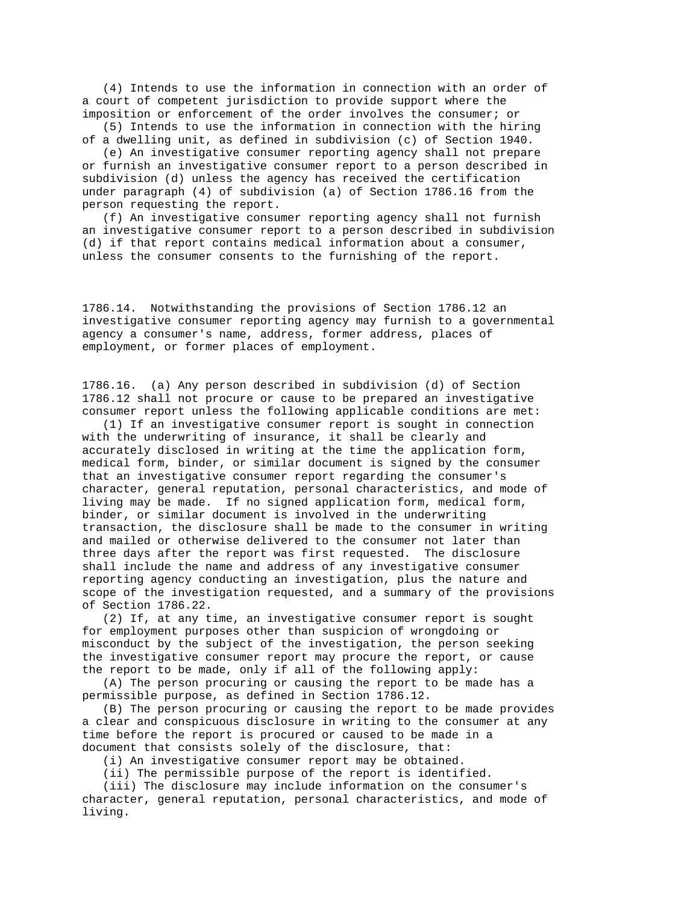(4) Intends to use the information in connection with an order of a court of competent jurisdiction to provide support where the imposition or enforcement of the order involves the consumer; or

 (5) Intends to use the information in connection with the hiring of a dwelling unit, as defined in subdivision (c) of Section 1940.

 (e) An investigative consumer reporting agency shall not prepare or furnish an investigative consumer report to a person described in subdivision (d) unless the agency has received the certification under paragraph (4) of subdivision (a) of Section 1786.16 from the person requesting the report.

 (f) An investigative consumer reporting agency shall not furnish an investigative consumer report to a person described in subdivision (d) if that report contains medical information about a consumer, unless the consumer consents to the furnishing of the report.

1786.14. Notwithstanding the provisions of Section 1786.12 an investigative consumer reporting agency may furnish to a governmental agency a consumer's name, address, former address, places of employment, or former places of employment.

1786.16. (a) Any person described in subdivision (d) of Section 1786.12 shall not procure or cause to be prepared an investigative consumer report unless the following applicable conditions are met:

 (1) If an investigative consumer report is sought in connection with the underwriting of insurance, it shall be clearly and accurately disclosed in writing at the time the application form, medical form, binder, or similar document is signed by the consumer that an investigative consumer report regarding the consumer's character, general reputation, personal characteristics, and mode of living may be made. If no signed application form, medical form, binder, or similar document is involved in the underwriting transaction, the disclosure shall be made to the consumer in writing and mailed or otherwise delivered to the consumer not later than three days after the report was first requested. The disclosure shall include the name and address of any investigative consumer reporting agency conducting an investigation, plus the nature and scope of the investigation requested, and a summary of the provisions of Section 1786.22.

 (2) If, at any time, an investigative consumer report is sought for employment purposes other than suspicion of wrongdoing or misconduct by the subject of the investigation, the person seeking the investigative consumer report may procure the report, or cause the report to be made, only if all of the following apply:

 (A) The person procuring or causing the report to be made has a permissible purpose, as defined in Section 1786.12.

 (B) The person procuring or causing the report to be made provides a clear and conspicuous disclosure in writing to the consumer at any time before the report is procured or caused to be made in a document that consists solely of the disclosure, that:

(i) An investigative consumer report may be obtained.

(ii) The permissible purpose of the report is identified.

 (iii) The disclosure may include information on the consumer's character, general reputation, personal characteristics, and mode of living.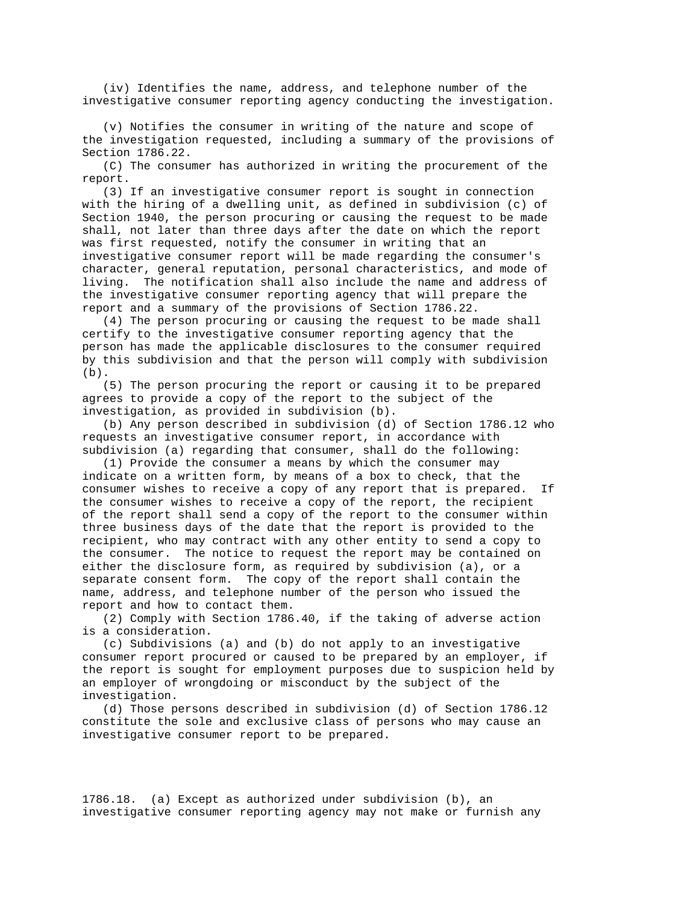(iv) Identifies the name, address, and telephone number of the investigative consumer reporting agency conducting the investigation.

 (v) Notifies the consumer in writing of the nature and scope of the investigation requested, including a summary of the provisions of Section 1786.22.

 (C) The consumer has authorized in writing the procurement of the report.

 (3) If an investigative consumer report is sought in connection with the hiring of a dwelling unit, as defined in subdivision (c) of Section 1940, the person procuring or causing the request to be made shall, not later than three days after the date on which the report was first requested, notify the consumer in writing that an investigative consumer report will be made regarding the consumer's character, general reputation, personal characteristics, and mode of living. The notification shall also include the name and address of the investigative consumer reporting agency that will prepare the report and a summary of the provisions of Section 1786.22.

 (4) The person procuring or causing the request to be made shall certify to the investigative consumer reporting agency that the person has made the applicable disclosures to the consumer required by this subdivision and that the person will comply with subdivision (b).

 (5) The person procuring the report or causing it to be prepared agrees to provide a copy of the report to the subject of the investigation, as provided in subdivision (b).

 (b) Any person described in subdivision (d) of Section 1786.12 who requests an investigative consumer report, in accordance with subdivision (a) regarding that consumer, shall do the following:

 (1) Provide the consumer a means by which the consumer may indicate on a written form, by means of a box to check, that the consumer wishes to receive a copy of any report that is prepared. If the consumer wishes to receive a copy of the report, the recipient of the report shall send a copy of the report to the consumer within three business days of the date that the report is provided to the recipient, who may contract with any other entity to send a copy to the consumer. The notice to request the report may be contained on either the disclosure form, as required by subdivision (a), or a separate consent form. The copy of the report shall contain the name, address, and telephone number of the person who issued the report and how to contact them.

 (2) Comply with Section 1786.40, if the taking of adverse action is a consideration.

 (c) Subdivisions (a) and (b) do not apply to an investigative consumer report procured or caused to be prepared by an employer, if the report is sought for employment purposes due to suspicion held by an employer of wrongdoing or misconduct by the subject of the investigation.

 (d) Those persons described in subdivision (d) of Section 1786.12 constitute the sole and exclusive class of persons who may cause an investigative consumer report to be prepared.

1786.18. (a) Except as authorized under subdivision (b), an investigative consumer reporting agency may not make or furnish any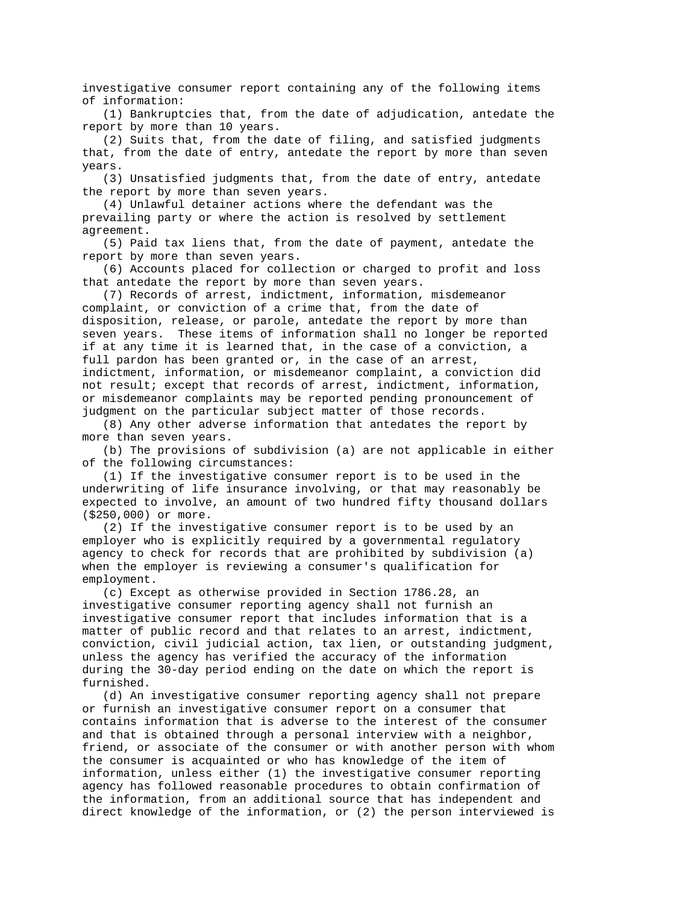investigative consumer report containing any of the following items of information:

 (1) Bankruptcies that, from the date of adjudication, antedate the report by more than 10 years.

 (2) Suits that, from the date of filing, and satisfied judgments that, from the date of entry, antedate the report by more than seven years.

 (3) Unsatisfied judgments that, from the date of entry, antedate the report by more than seven years.

 (4) Unlawful detainer actions where the defendant was the prevailing party or where the action is resolved by settlement agreement.

 (5) Paid tax liens that, from the date of payment, antedate the report by more than seven years.

 (6) Accounts placed for collection or charged to profit and loss that antedate the report by more than seven years.

 (7) Records of arrest, indictment, information, misdemeanor complaint, or conviction of a crime that, from the date of disposition, release, or parole, antedate the report by more than seven years. These items of information shall no longer be reported if at any time it is learned that, in the case of a conviction, a full pardon has been granted or, in the case of an arrest, indictment, information, or misdemeanor complaint, a conviction did not result; except that records of arrest, indictment, information, or misdemeanor complaints may be reported pending pronouncement of judgment on the particular subject matter of those records.

 (8) Any other adverse information that antedates the report by more than seven years.

 (b) The provisions of subdivision (a) are not applicable in either of the following circumstances:

 (1) If the investigative consumer report is to be used in the underwriting of life insurance involving, or that may reasonably be expected to involve, an amount of two hundred fifty thousand dollars (\$250,000) or more.

 (2) If the investigative consumer report is to be used by an employer who is explicitly required by a governmental regulatory agency to check for records that are prohibited by subdivision (a) when the employer is reviewing a consumer's qualification for employment.

 (c) Except as otherwise provided in Section 1786.28, an investigative consumer reporting agency shall not furnish an investigative consumer report that includes information that is a matter of public record and that relates to an arrest, indictment, conviction, civil judicial action, tax lien, or outstanding judgment, unless the agency has verified the accuracy of the information during the 30-day period ending on the date on which the report is furnished.

 (d) An investigative consumer reporting agency shall not prepare or furnish an investigative consumer report on a consumer that contains information that is adverse to the interest of the consumer and that is obtained through a personal interview with a neighbor, friend, or associate of the consumer or with another person with whom the consumer is acquainted or who has knowledge of the item of information, unless either (1) the investigative consumer reporting agency has followed reasonable procedures to obtain confirmation of the information, from an additional source that has independent and direct knowledge of the information, or (2) the person interviewed is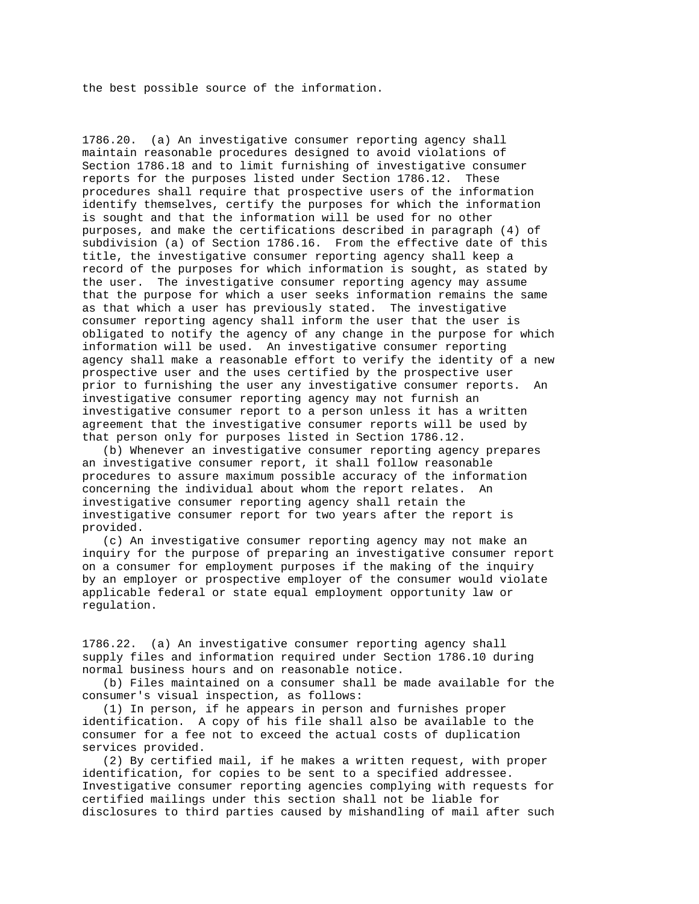the best possible source of the information.

1786.20. (a) An investigative consumer reporting agency shall maintain reasonable procedures designed to avoid violations of Section 1786.18 and to limit furnishing of investigative consumer reports for the purposes listed under Section 1786.12. These procedures shall require that prospective users of the information identify themselves, certify the purposes for which the information is sought and that the information will be used for no other purposes, and make the certifications described in paragraph (4) of subdivision (a) of Section 1786.16. From the effective date of this title, the investigative consumer reporting agency shall keep a record of the purposes for which information is sought, as stated by the user. The investigative consumer reporting agency may assume that the purpose for which a user seeks information remains the same as that which a user has previously stated. The investigative consumer reporting agency shall inform the user that the user is obligated to notify the agency of any change in the purpose for which information will be used. An investigative consumer reporting agency shall make a reasonable effort to verify the identity of a new prospective user and the uses certified by the prospective user prior to furnishing the user any investigative consumer reports. An investigative consumer reporting agency may not furnish an investigative consumer report to a person unless it has a written agreement that the investigative consumer reports will be used by that person only for purposes listed in Section 1786.12.

 (b) Whenever an investigative consumer reporting agency prepares an investigative consumer report, it shall follow reasonable procedures to assure maximum possible accuracy of the information concerning the individual about whom the report relates. An investigative consumer reporting agency shall retain the investigative consumer report for two years after the report is provided.

 (c) An investigative consumer reporting agency may not make an inquiry for the purpose of preparing an investigative consumer report on a consumer for employment purposes if the making of the inquiry by an employer or prospective employer of the consumer would violate applicable federal or state equal employment opportunity law or regulation.

1786.22. (a) An investigative consumer reporting agency shall supply files and information required under Section 1786.10 during normal business hours and on reasonable notice.

 (b) Files maintained on a consumer shall be made available for the consumer's visual inspection, as follows:

 (1) In person, if he appears in person and furnishes proper identification. A copy of his file shall also be available to the consumer for a fee not to exceed the actual costs of duplication services provided.

 (2) By certified mail, if he makes a written request, with proper identification, for copies to be sent to a specified addressee. Investigative consumer reporting agencies complying with requests for certified mailings under this section shall not be liable for disclosures to third parties caused by mishandling of mail after such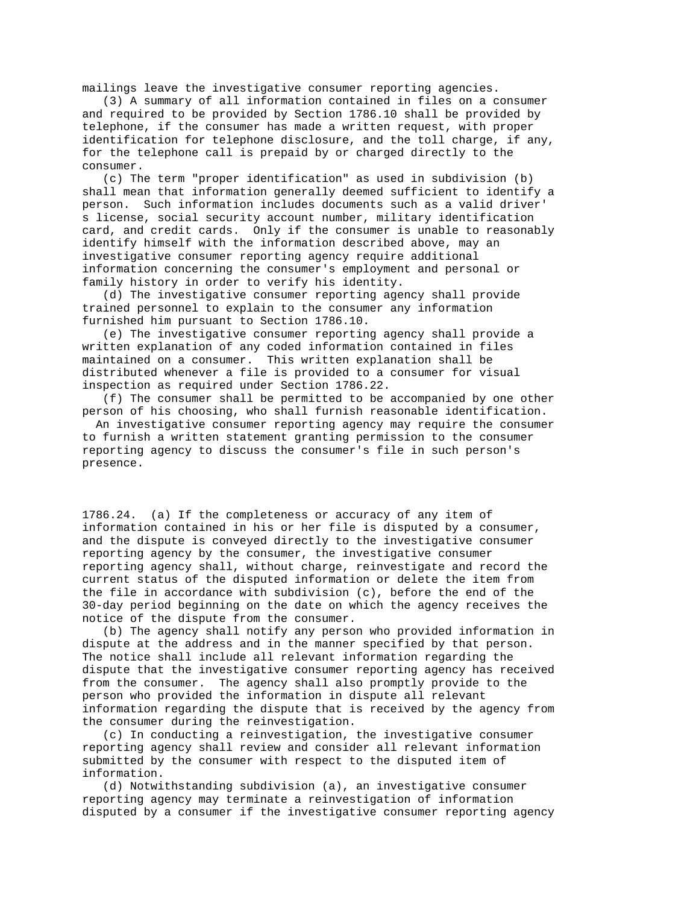mailings leave the investigative consumer reporting agencies.

 (3) A summary of all information contained in files on a consumer and required to be provided by Section 1786.10 shall be provided by telephone, if the consumer has made a written request, with proper identification for telephone disclosure, and the toll charge, if any, for the telephone call is prepaid by or charged directly to the consumer.

 (c) The term "proper identification" as used in subdivision (b) shall mean that information generally deemed sufficient to identify a person. Such information includes documents such as a valid driver' s license, social security account number, military identification card, and credit cards. Only if the consumer is unable to reasonably identify himself with the information described above, may an investigative consumer reporting agency require additional information concerning the consumer's employment and personal or family history in order to verify his identity.

 (d) The investigative consumer reporting agency shall provide trained personnel to explain to the consumer any information furnished him pursuant to Section 1786.10.

 (e) The investigative consumer reporting agency shall provide a written explanation of any coded information contained in files maintained on a consumer. This written explanation shall be distributed whenever a file is provided to a consumer for visual inspection as required under Section 1786.22.

 (f) The consumer shall be permitted to be accompanied by one other person of his choosing, who shall furnish reasonable identification.

 An investigative consumer reporting agency may require the consumer to furnish a written statement granting permission to the consumer reporting agency to discuss the consumer's file in such person's presence.

1786.24. (a) If the completeness or accuracy of any item of information contained in his or her file is disputed by a consumer, and the dispute is conveyed directly to the investigative consumer reporting agency by the consumer, the investigative consumer reporting agency shall, without charge, reinvestigate and record the current status of the disputed information or delete the item from the file in accordance with subdivision (c), before the end of the 30-day period beginning on the date on which the agency receives the notice of the dispute from the consumer.

 (b) The agency shall notify any person who provided information in dispute at the address and in the manner specified by that person. The notice shall include all relevant information regarding the dispute that the investigative consumer reporting agency has received from the consumer. The agency shall also promptly provide to the person who provided the information in dispute all relevant information regarding the dispute that is received by the agency from the consumer during the reinvestigation.

 (c) In conducting a reinvestigation, the investigative consumer reporting agency shall review and consider all relevant information submitted by the consumer with respect to the disputed item of information.

 (d) Notwithstanding subdivision (a), an investigative consumer reporting agency may terminate a reinvestigation of information disputed by a consumer if the investigative consumer reporting agency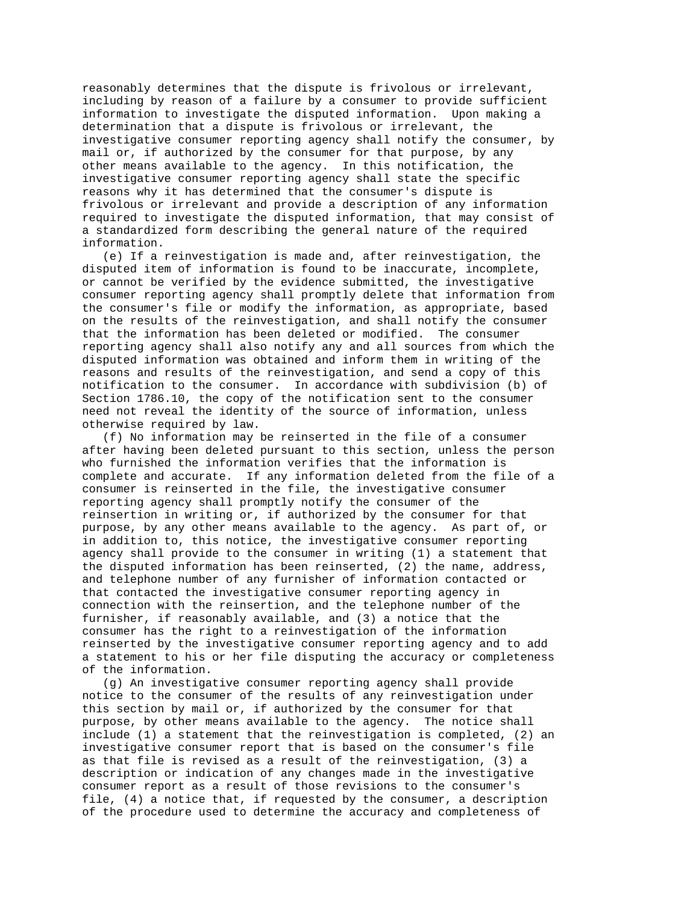reasonably determines that the dispute is frivolous or irrelevant, including by reason of a failure by a consumer to provide sufficient information to investigate the disputed information. Upon making a determination that a dispute is frivolous or irrelevant, the investigative consumer reporting agency shall notify the consumer, by mail or, if authorized by the consumer for that purpose, by any other means available to the agency. In this notification, the investigative consumer reporting agency shall state the specific reasons why it has determined that the consumer's dispute is frivolous or irrelevant and provide a description of any information required to investigate the disputed information, that may consist of a standardized form describing the general nature of the required information.

 (e) If a reinvestigation is made and, after reinvestigation, the disputed item of information is found to be inaccurate, incomplete, or cannot be verified by the evidence submitted, the investigative consumer reporting agency shall promptly delete that information from the consumer's file or modify the information, as appropriate, based on the results of the reinvestigation, and shall notify the consumer that the information has been deleted or modified. The consumer reporting agency shall also notify any and all sources from which the disputed information was obtained and inform them in writing of the reasons and results of the reinvestigation, and send a copy of this notification to the consumer. In accordance with subdivision (b) of Section 1786.10, the copy of the notification sent to the consumer need not reveal the identity of the source of information, unless otherwise required by law.

 (f) No information may be reinserted in the file of a consumer after having been deleted pursuant to this section, unless the person who furnished the information verifies that the information is complete and accurate. If any information deleted from the file of a consumer is reinserted in the file, the investigative consumer reporting agency shall promptly notify the consumer of the reinsertion in writing or, if authorized by the consumer for that purpose, by any other means available to the agency. As part of, or in addition to, this notice, the investigative consumer reporting agency shall provide to the consumer in writing (1) a statement that the disputed information has been reinserted, (2) the name, address, and telephone number of any furnisher of information contacted or that contacted the investigative consumer reporting agency in connection with the reinsertion, and the telephone number of the furnisher, if reasonably available, and (3) a notice that the consumer has the right to a reinvestigation of the information reinserted by the investigative consumer reporting agency and to add a statement to his or her file disputing the accuracy or completeness of the information.

 (g) An investigative consumer reporting agency shall provide notice to the consumer of the results of any reinvestigation under this section by mail or, if authorized by the consumer for that purpose, by other means available to the agency. The notice shall include (1) a statement that the reinvestigation is completed, (2) an investigative consumer report that is based on the consumer's file as that file is revised as a result of the reinvestigation, (3) a description or indication of any changes made in the investigative consumer report as a result of those revisions to the consumer's file, (4) a notice that, if requested by the consumer, a description of the procedure used to determine the accuracy and completeness of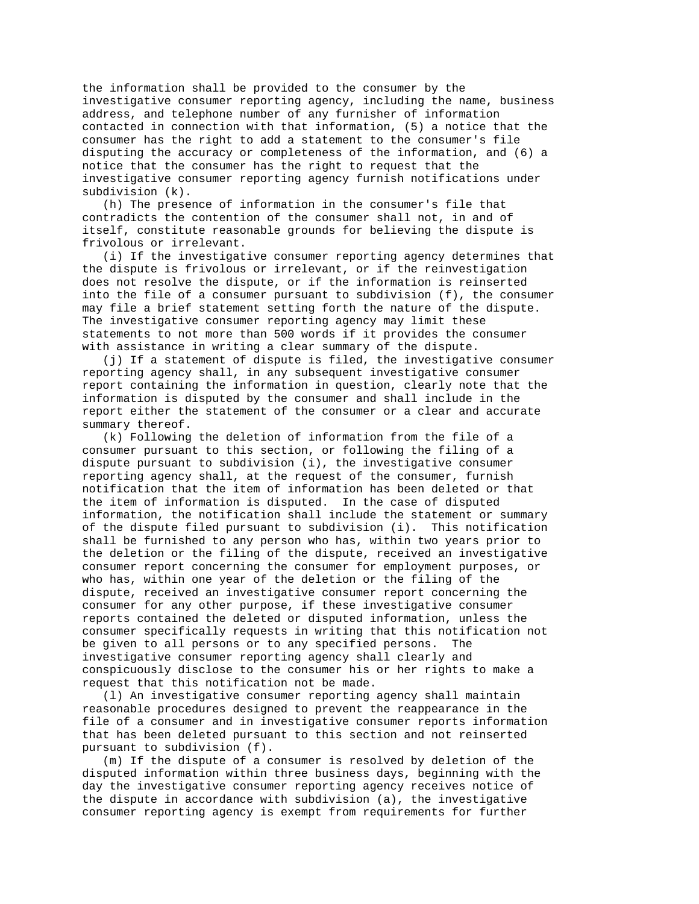the information shall be provided to the consumer by the investigative consumer reporting agency, including the name, business address, and telephone number of any furnisher of information contacted in connection with that information, (5) a notice that the consumer has the right to add a statement to the consumer's file disputing the accuracy or completeness of the information, and (6) a notice that the consumer has the right to request that the investigative consumer reporting agency furnish notifications under subdivision (k).

 (h) The presence of information in the consumer's file that contradicts the contention of the consumer shall not, in and of itself, constitute reasonable grounds for believing the dispute is frivolous or irrelevant.

 (i) If the investigative consumer reporting agency determines that the dispute is frivolous or irrelevant, or if the reinvestigation does not resolve the dispute, or if the information is reinserted into the file of a consumer pursuant to subdivision (f), the consumer may file a brief statement setting forth the nature of the dispute. The investigative consumer reporting agency may limit these statements to not more than 500 words if it provides the consumer with assistance in writing a clear summary of the dispute.

 (j) If a statement of dispute is filed, the investigative consumer reporting agency shall, in any subsequent investigative consumer report containing the information in question, clearly note that the information is disputed by the consumer and shall include in the report either the statement of the consumer or a clear and accurate summary thereof.

 (k) Following the deletion of information from the file of a consumer pursuant to this section, or following the filing of a dispute pursuant to subdivision (i), the investigative consumer reporting agency shall, at the request of the consumer, furnish notification that the item of information has been deleted or that the item of information is disputed. In the case of disputed information, the notification shall include the statement or summary of the dispute filed pursuant to subdivision (i). This notification shall be furnished to any person who has, within two years prior to the deletion or the filing of the dispute, received an investigative consumer report concerning the consumer for employment purposes, or who has, within one year of the deletion or the filing of the dispute, received an investigative consumer report concerning the consumer for any other purpose, if these investigative consumer reports contained the deleted or disputed information, unless the consumer specifically requests in writing that this notification not be given to all persons or to any specified persons. The investigative consumer reporting agency shall clearly and conspicuously disclose to the consumer his or her rights to make a request that this notification not be made.

 (l) An investigative consumer reporting agency shall maintain reasonable procedures designed to prevent the reappearance in the file of a consumer and in investigative consumer reports information that has been deleted pursuant to this section and not reinserted pursuant to subdivision (f).

 (m) If the dispute of a consumer is resolved by deletion of the disputed information within three business days, beginning with the day the investigative consumer reporting agency receives notice of the dispute in accordance with subdivision (a), the investigative consumer reporting agency is exempt from requirements for further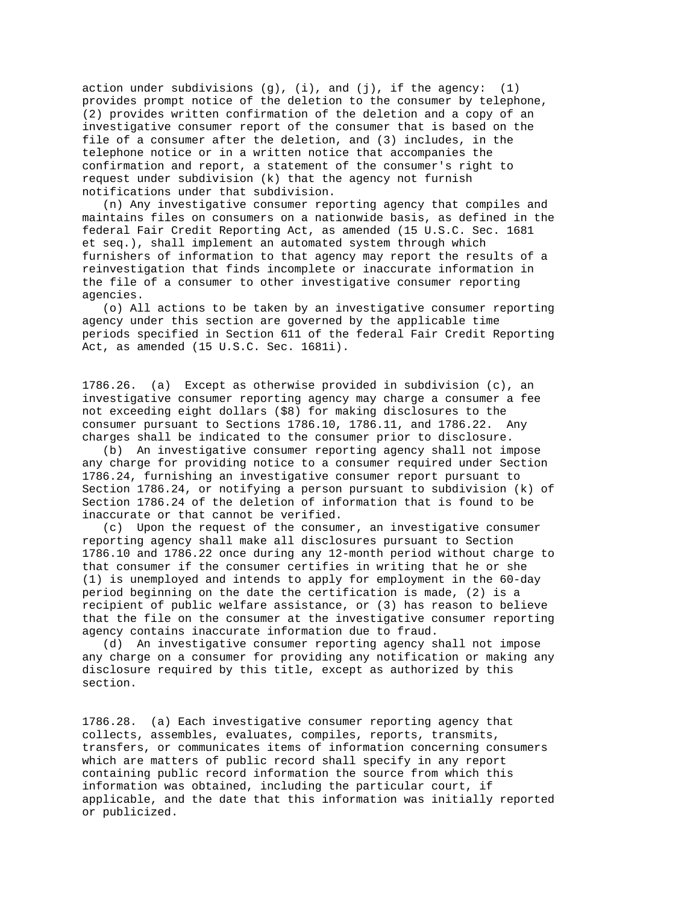action under subdivisions  $(g)$ ,  $(i)$ , and  $(j)$ , if the agency:  $(1)$ provides prompt notice of the deletion to the consumer by telephone, (2) provides written confirmation of the deletion and a copy of an investigative consumer report of the consumer that is based on the file of a consumer after the deletion, and (3) includes, in the telephone notice or in a written notice that accompanies the confirmation and report, a statement of the consumer's right to request under subdivision (k) that the agency not furnish notifications under that subdivision.

 (n) Any investigative consumer reporting agency that compiles and maintains files on consumers on a nationwide basis, as defined in the federal Fair Credit Reporting Act, as amended (15 U.S.C. Sec. 1681 et seq.), shall implement an automated system through which furnishers of information to that agency may report the results of a reinvestigation that finds incomplete or inaccurate information in the file of a consumer to other investigative consumer reporting agencies.

 (o) All actions to be taken by an investigative consumer reporting agency under this section are governed by the applicable time periods specified in Section 611 of the federal Fair Credit Reporting Act, as amended (15 U.S.C. Sec. 1681i).

1786.26. (a) Except as otherwise provided in subdivision (c), an investigative consumer reporting agency may charge a consumer a fee not exceeding eight dollars (\$8) for making disclosures to the consumer pursuant to Sections 1786.10, 1786.11, and 1786.22. Any charges shall be indicated to the consumer prior to disclosure.

 (b) An investigative consumer reporting agency shall not impose any charge for providing notice to a consumer required under Section 1786.24, furnishing an investigative consumer report pursuant to Section 1786.24, or notifying a person pursuant to subdivision (k) of Section 1786.24 of the deletion of information that is found to be inaccurate or that cannot be verified.

 (c) Upon the request of the consumer, an investigative consumer reporting agency shall make all disclosures pursuant to Section 1786.10 and 1786.22 once during any 12-month period without charge to that consumer if the consumer certifies in writing that he or she (1) is unemployed and intends to apply for employment in the 60-day period beginning on the date the certification is made, (2) is a recipient of public welfare assistance, or (3) has reason to believe that the file on the consumer at the investigative consumer reporting agency contains inaccurate information due to fraud.

 (d) An investigative consumer reporting agency shall not impose any charge on a consumer for providing any notification or making any disclosure required by this title, except as authorized by this section.

1786.28. (a) Each investigative consumer reporting agency that collects, assembles, evaluates, compiles, reports, transmits, transfers, or communicates items of information concerning consumers which are matters of public record shall specify in any report containing public record information the source from which this information was obtained, including the particular court, if applicable, and the date that this information was initially reported or publicized.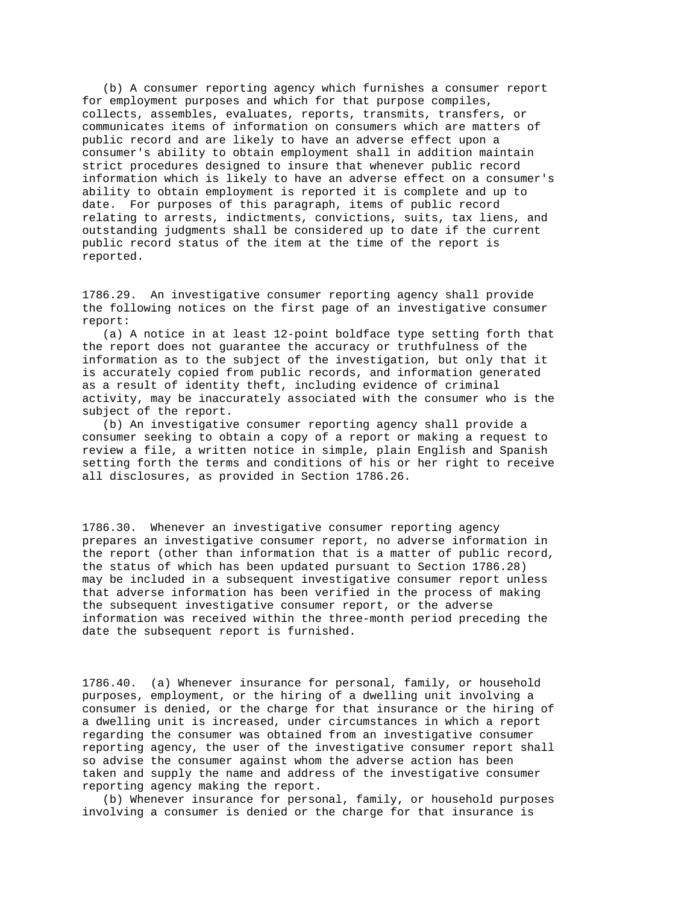(b) A consumer reporting agency which furnishes a consumer report for employment purposes and which for that purpose compiles, collects, assembles, evaluates, reports, transmits, transfers, or communicates items of information on consumers which are matters of public record and are likely to have an adverse effect upon a consumer's ability to obtain employment shall in addition maintain strict procedures designed to insure that whenever public record information which is likely to have an adverse effect on a consumer's ability to obtain employment is reported it is complete and up to date. For purposes of this paragraph, items of public record relating to arrests, indictments, convictions, suits, tax liens, and outstanding judgments shall be considered up to date if the current public record status of the item at the time of the report is reported.

1786.29. An investigative consumer reporting agency shall provide the following notices on the first page of an investigative consumer report:

 (a) A notice in at least 12-point boldface type setting forth that the report does not guarantee the accuracy or truthfulness of the information as to the subject of the investigation, but only that it is accurately copied from public records, and information generated as a result of identity theft, including evidence of criminal activity, may be inaccurately associated with the consumer who is the subject of the report.

 (b) An investigative consumer reporting agency shall provide a consumer seeking to obtain a copy of a report or making a request to review a file, a written notice in simple, plain English and Spanish setting forth the terms and conditions of his or her right to receive all disclosures, as provided in Section 1786.26.

1786.30. Whenever an investigative consumer reporting agency prepares an investigative consumer report, no adverse information in the report (other than information that is a matter of public record, the status of which has been updated pursuant to Section 1786.28) may be included in a subsequent investigative consumer report unless that adverse information has been verified in the process of making the subsequent investigative consumer report, or the adverse information was received within the three-month period preceding the date the subsequent report is furnished.

1786.40. (a) Whenever insurance for personal, family, or household purposes, employment, or the hiring of a dwelling unit involving a consumer is denied, or the charge for that insurance or the hiring of a dwelling unit is increased, under circumstances in which a report regarding the consumer was obtained from an investigative consumer reporting agency, the user of the investigative consumer report shall so advise the consumer against whom the adverse action has been taken and supply the name and address of the investigative consumer reporting agency making the report.

 (b) Whenever insurance for personal, family, or household purposes involving a consumer is denied or the charge for that insurance is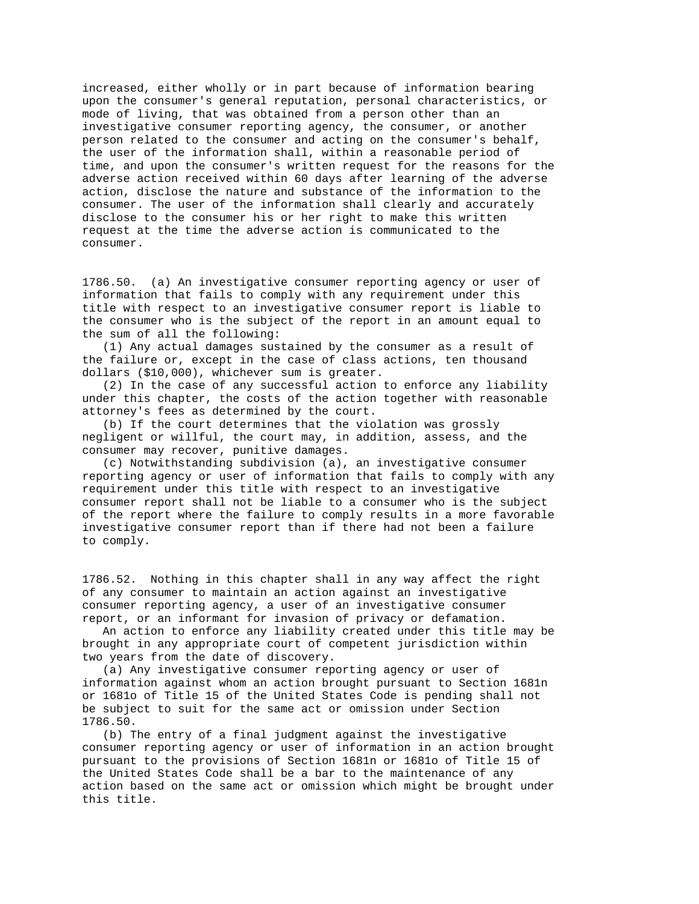increased, either wholly or in part because of information bearing upon the consumer's general reputation, personal characteristics, or mode of living, that was obtained from a person other than an investigative consumer reporting agency, the consumer, or another person related to the consumer and acting on the consumer's behalf, the user of the information shall, within a reasonable period of time, and upon the consumer's written request for the reasons for the adverse action received within 60 days after learning of the adverse action, disclose the nature and substance of the information to the consumer. The user of the information shall clearly and accurately disclose to the consumer his or her right to make this written request at the time the adverse action is communicated to the consumer.

1786.50. (a) An investigative consumer reporting agency or user of information that fails to comply with any requirement under this title with respect to an investigative consumer report is liable to the consumer who is the subject of the report in an amount equal to the sum of all the following:

 (1) Any actual damages sustained by the consumer as a result of the failure or, except in the case of class actions, ten thousand dollars (\$10,000), whichever sum is greater.

 (2) In the case of any successful action to enforce any liability under this chapter, the costs of the action together with reasonable attorney's fees as determined by the court.

 (b) If the court determines that the violation was grossly negligent or willful, the court may, in addition, assess, and the consumer may recover, punitive damages.

 (c) Notwithstanding subdivision (a), an investigative consumer reporting agency or user of information that fails to comply with any requirement under this title with respect to an investigative consumer report shall not be liable to a consumer who is the subject of the report where the failure to comply results in a more favorable investigative consumer report than if there had not been a failure to comply.

1786.52. Nothing in this chapter shall in any way affect the right of any consumer to maintain an action against an investigative consumer reporting agency, a user of an investigative consumer report, or an informant for invasion of privacy or defamation.

 An action to enforce any liability created under this title may be brought in any appropriate court of competent jurisdiction within two years from the date of discovery.

 (a) Any investigative consumer reporting agency or user of information against whom an action brought pursuant to Section 1681n or 1681o of Title 15 of the United States Code is pending shall not be subject to suit for the same act or omission under Section 1786.50.

 (b) The entry of a final judgment against the investigative consumer reporting agency or user of information in an action brought pursuant to the provisions of Section 1681n or 1681o of Title 15 of the United States Code shall be a bar to the maintenance of any action based on the same act or omission which might be brought under this title.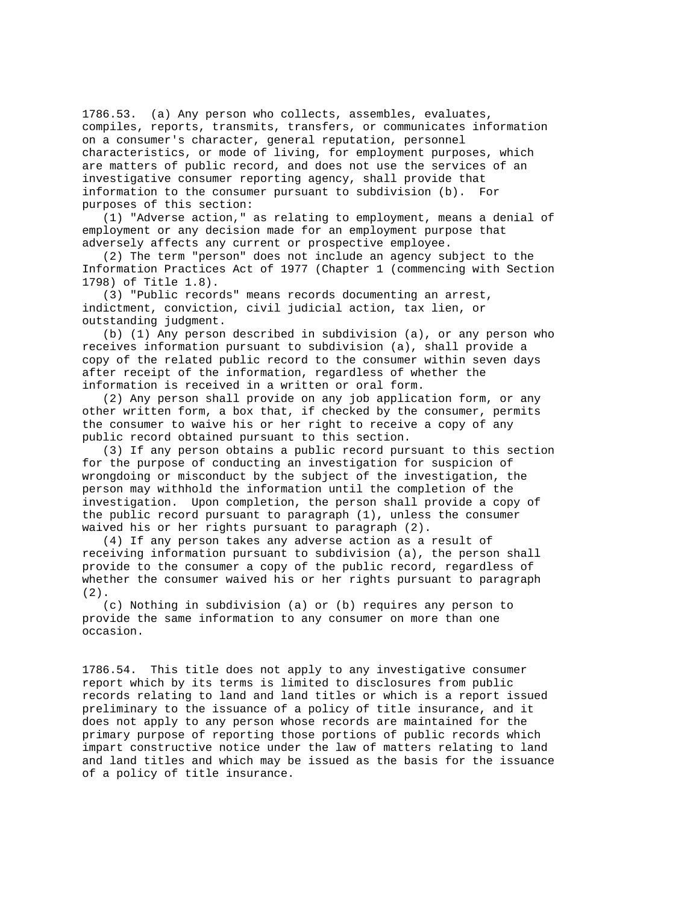1786.53. (a) Any person who collects, assembles, evaluates, compiles, reports, transmits, transfers, or communicates information on a consumer's character, general reputation, personnel characteristics, or mode of living, for employment purposes, which are matters of public record, and does not use the services of an investigative consumer reporting agency, shall provide that information to the consumer pursuant to subdivision (b). For purposes of this section:

 (1) "Adverse action," as relating to employment, means a denial of employment or any decision made for an employment purpose that adversely affects any current or prospective employee.

 (2) The term "person" does not include an agency subject to the Information Practices Act of 1977 (Chapter 1 (commencing with Section 1798) of Title 1.8).

 (3) "Public records" means records documenting an arrest, indictment, conviction, civil judicial action, tax lien, or outstanding judgment.

 (b) (1) Any person described in subdivision (a), or any person who receives information pursuant to subdivision (a), shall provide a copy of the related public record to the consumer within seven days after receipt of the information, regardless of whether the information is received in a written or oral form.

 (2) Any person shall provide on any job application form, or any other written form, a box that, if checked by the consumer, permits the consumer to waive his or her right to receive a copy of any public record obtained pursuant to this section.

 (3) If any person obtains a public record pursuant to this section for the purpose of conducting an investigation for suspicion of wrongdoing or misconduct by the subject of the investigation, the person may withhold the information until the completion of the investigation. Upon completion, the person shall provide a copy of the public record pursuant to paragraph (1), unless the consumer waived his or her rights pursuant to paragraph (2).

 (4) If any person takes any adverse action as a result of receiving information pursuant to subdivision (a), the person shall provide to the consumer a copy of the public record, regardless of whether the consumer waived his or her rights pursuant to paragraph  $(2)$ .

 (c) Nothing in subdivision (a) or (b) requires any person to provide the same information to any consumer on more than one occasion.

1786.54. This title does not apply to any investigative consumer report which by its terms is limited to disclosures from public records relating to land and land titles or which is a report issued preliminary to the issuance of a policy of title insurance, and it does not apply to any person whose records are maintained for the primary purpose of reporting those portions of public records which impart constructive notice under the law of matters relating to land and land titles and which may be issued as the basis for the issuance of a policy of title insurance.